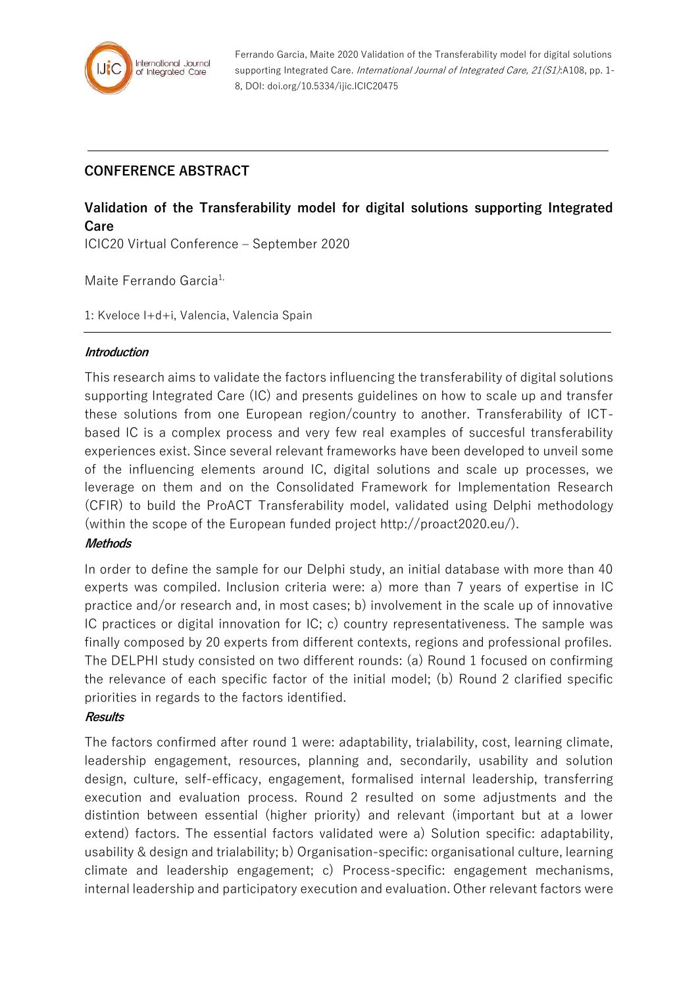

Ferrando Garcia, Maite 2020 Validation of the Transferability model for digital solutions supporting Integrated Care. International Journal of Integrated Care, 21(S1):A108, pp. 1-8, DOI: doi.org/10.5334/ijic.ICIC20475

## **CONFERENCE ABSTRACT**

# **Validation of the Transferability model for digital solutions supporting Integrated Care**

ICIC20 Virtual Conference – September 2020

Maite Ferrando Garcia<sup>1,</sup>

1: Kveloce I+d+i, Valencia, Valencia Spain

#### **Introduction**

This research aims to validate the factors influencing the transferability of digital solutions supporting Integrated Care (IC) and presents guidelines on how to scale up and transfer these solutions from one European region/country to another. Transferability of ICTbased IC is a complex process and very few real examples of succesful transferability experiences exist. Since several relevant frameworks have been developed to unveil some of the influencing elements around IC, digital solutions and scale up processes, we leverage on them and on the Consolidated Framework for Implementation Research (CFIR) to build the ProACT Transferability model, validated using Delphi methodology (within the scope of the European funded project http://proact2020.eu/).

## **Methods**

In order to define the sample for our Delphi study, an initial database with more than 40 experts was compiled. Inclusion criteria were: a) more than 7 years of expertise in IC practice and/or research and, in most cases; b) involvement in the scale up of innovative IC practices or digital innovation for IC; c) country representativeness. The sample was finally composed by 20 experts from different contexts, regions and professional profiles. The DELPHI study consisted on two different rounds: (a) Round 1 focused on confirming the relevance of each specific factor of the initial model; (b) Round 2 clarified specific priorities in regards to the factors identified.

## **Results**

The factors confirmed after round 1 were: adaptability, trialability, cost, learning climate, leadership engagement, resources, planning and, secondarily, usability and solution design, culture, self-efficacy, engagement, formalised internal leadership, transferring execution and evaluation process. Round 2 resulted on some adjustments and the distintion between essential (higher priority) and relevant (important but at a lower extend) factors. The essential factors validated were a) Solution specific: adaptability, usability & design and trialability; b) Organisation-specific: organisational culture, learning climate and leadership engagement; c) Process-specific: engagement mechanisms, internal leadership and participatory execution and evaluation. Other relevant factors were